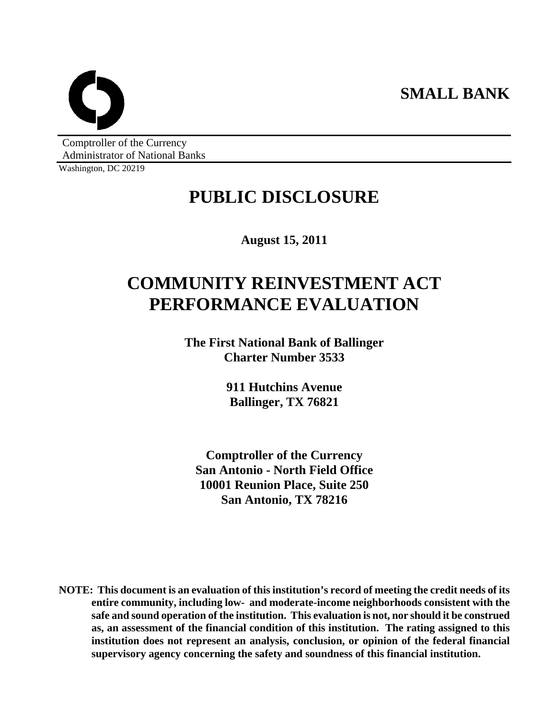**SMALL BANK** 



Comptroller of the Currency Administrator of National Banks

Washington, DC 20219

# **PUBLIC DISCLOSURE**

**August 15, 2011** 

# **COMMUNITY REINVESTMENT ACT PERFORMANCE EVALUATION**

**The First National Bank of Ballinger Charter Number 3533** 

> **911 Hutchins Avenue Ballinger, TX 76821**

**Comptroller of the Currency San Antonio - North Field Office 10001 Reunion Place, Suite 250 San Antonio, TX 78216** 

**NOTE: This document is an evaluation of this institution's record of meeting the credit needs of its entire community, including low- and moderate-income neighborhoods consistent with the safe and sound operation of the institution. This evaluation is not, nor should it be construed as, an assessment of the financial condition of this institution. The rating assigned to this institution does not represent an analysis, conclusion, or opinion of the federal financial supervisory agency concerning the safety and soundness of this financial institution.**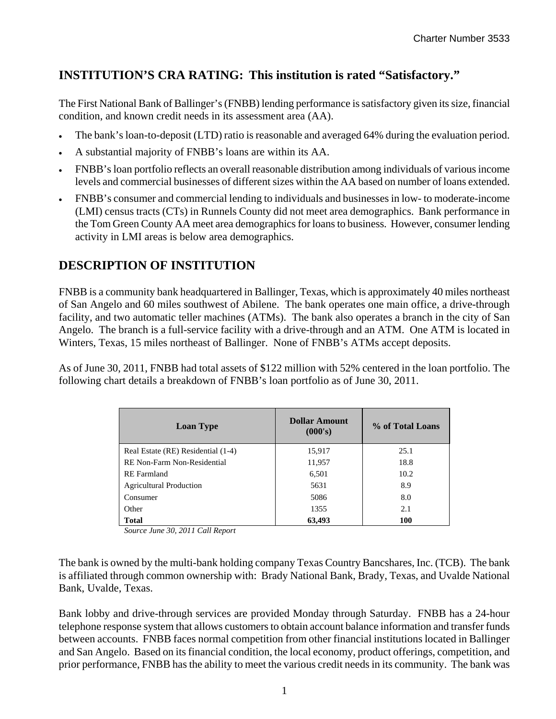# **INSTITUTION'S CRA RATING: This institution is rated "Satisfactory."**

The First National Bank of Ballinger's (FNBB) lending performance is satisfactory given its size, financial condition, and known credit needs in its assessment area (AA).

- The bank's loan-to-deposit (LTD) ratio is reasonable and averaged 64% during the evaluation period.
- A substantial majority of FNBB's loans are within its AA.
- FNBB's loan portfolio reflects an overall reasonable distribution among individuals of various income levels and commercial businesses of different sizes within the AA based on number of loans extended.
- FNBB's consumer and commercial lending to individuals and businesses in low- to moderate-income (LMI) census tracts (CTs) in Runnels County did not meet area demographics. Bank performance in the Tom Green County AA meet area demographics for loans to business. However, consumer lending activity in LMI areas is below area demographics.

# **DESCRIPTION OF INSTITUTION**

FNBB is a community bank headquartered in Ballinger, Texas, which is approximately 40 miles northeast of San Angelo and 60 miles southwest of Abilene. The bank operates one main office, a drive-through facility, and two automatic teller machines (ATMs). The bank also operates a branch in the city of San Angelo. The branch is a full-service facility with a drive-through and an ATM. One ATM is located in Winters, Texas, 15 miles northeast of Ballinger. None of FNBB's ATMs accept deposits.

As of June 30, 2011, FNBB had total assets of \$122 million with 52% centered in the loan portfolio. The following chart details a breakdown of FNBB's loan portfolio as of June 30, 2011.

| <b>Loan Type</b>                   | <b>Dollar Amount</b><br>(000's) | % of Total Loans |
|------------------------------------|---------------------------------|------------------|
| Real Estate (RE) Residential (1-4) | 15,917                          | 25.1             |
| RE Non-Farm Non-Residential        | 11,957                          | 18.8             |
| <b>RE</b> Farmland                 | 6,501                           | 10.2             |
| <b>Agricultural Production</b>     | 5631                            | 8.9              |
| Consumer                           | 5086                            | 8.0              |
| Other                              | 1355                            | 2.1              |
| <b>Total</b>                       | 63,493                          | 100              |

*Source June 30, 2011 Call Report* 

The bank is owned by the multi-bank holding company Texas Country Bancshares, Inc. (TCB). The bank is affiliated through common ownership with: Brady National Bank, Brady, Texas, and Uvalde National Bank, Uvalde, Texas.

Bank lobby and drive-through services are provided Monday through Saturday. FNBB has a 24-hour telephone response system that allows customers to obtain account balance information and transfer funds between accounts. FNBB faces normal competition from other financial institutions located in Ballinger and San Angelo. Based on its financial condition, the local economy, product offerings, competition, and prior performance, FNBB has the ability to meet the various credit needs in its community. The bank was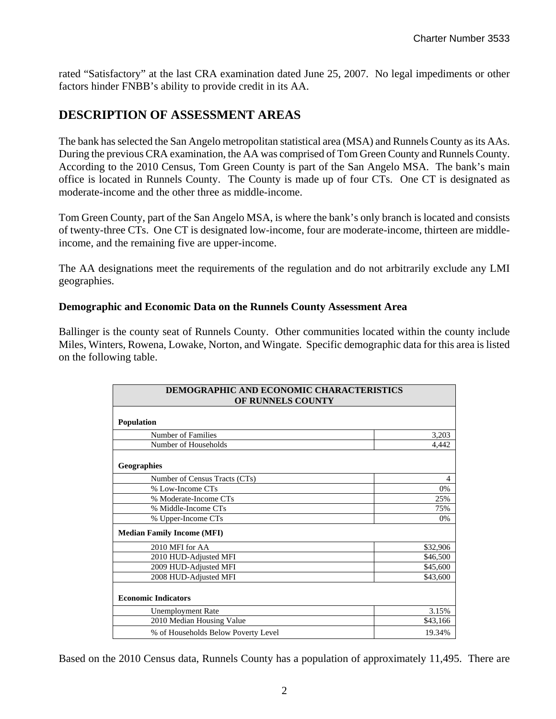rated "Satisfactory" at the last CRA examination dated June 25, 2007. No legal impediments or other factors hinder FNBB's ability to provide credit in its AA.

## **DESCRIPTION OF ASSESSMENT AREAS**

The bank has selected the San Angelo metropolitan statistical area (MSA) and Runnels County as its AAs. During the previous CRA examination, the AA was comprised of Tom Green County and Runnels County. According to the 2010 Census, Tom Green County is part of the San Angelo MSA. The bank's main office is located in Runnels County. The County is made up of four CTs. One CT is designated as moderate-income and the other three as middle-income.

Tom Green County, part of the San Angelo MSA, is where the bank's only branch is located and consists of twenty-three CTs. One CT is designated low-income, four are moderate-income, thirteen are middleincome, and the remaining five are upper-income.

The AA designations meet the requirements of the regulation and do not arbitrarily exclude any LMI geographies.

#### **Demographic and Economic Data on the Runnels County Assessment Area**

Ballinger is the county seat of Runnels County. Other communities located within the county include Miles, Winters, Rowena, Lowake, Norton, and Wingate. Specific demographic data for this area is listed on the following table.

| DEMOGRAPHIC AND ECONOMIC CHARACTERISTICS<br>OF RUNNELS COUNTY |          |
|---------------------------------------------------------------|----------|
| <b>Population</b>                                             |          |
| Number of Families                                            | 3,203    |
| Number of Households                                          | 4,442    |
| Geographies                                                   |          |
| Number of Census Tracts (CTs)                                 | 4        |
| % Low-Income CTs                                              | 0%       |
| % Moderate-Income CTs                                         | 25%      |
| % Middle-Income CTs                                           | 75%      |
| % Upper-Income CTs                                            | 0%       |
| <b>Median Family Income (MFI)</b>                             |          |
| 2010 MFI for AA                                               | \$32,906 |
| 2010 HUD-Adjusted MFI                                         | \$46,500 |
| 2009 HUD-Adjusted MFI                                         | \$45,600 |
| 2008 HUD-Adjusted MFI                                         | \$43,600 |
| <b>Economic Indicators</b>                                    |          |
| <b>Unemployment Rate</b>                                      | 3.15%    |
| 2010 Median Housing Value                                     | \$43,166 |
| % of Households Below Poverty Level                           | 19.34%   |

Based on the 2010 Census data, Runnels County has a population of approximately 11,495. There are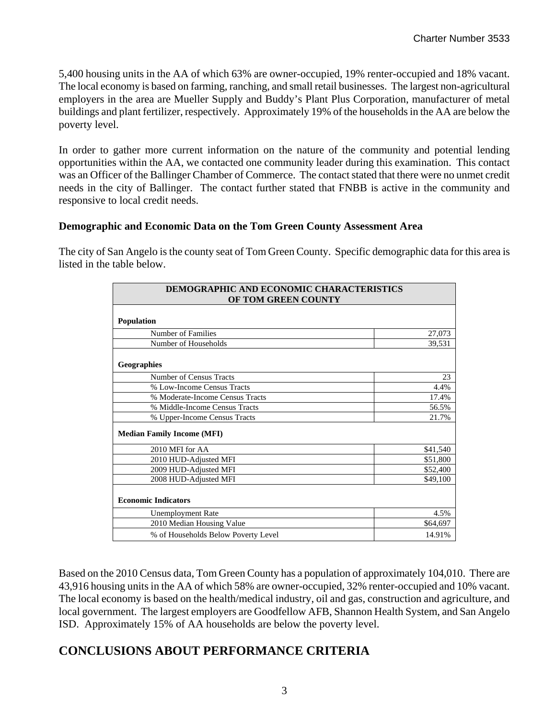5,400 housing units in the AA of which 63% are owner-occupied, 19% renter-occupied and 18% vacant. The local economy is based on farming, ranching, and small retail businesses. The largest non-agricultural employers in the area are Mueller Supply and Buddy's Plant Plus Corporation, manufacturer of metal buildings and plant fertilizer, respectively. Approximately 19% of the households in the AA are below the poverty level.

In order to gather more current information on the nature of the community and potential lending opportunities within the AA, we contacted one community leader during this examination. This contact was an Officer of the Ballinger Chamber of Commerce. The contact stated that there were no unmet credit needs in the city of Ballinger. The contact further stated that FNBB is active in the community and responsive to local credit needs.

#### **Demographic and Economic Data on the Tom Green County Assessment Area**

The city of San Angelo is the county seat of Tom Green County. Specific demographic data for this area is listed in the table below.

| DEMOGRAPHIC AND ECONOMIC CHARACTERISTICS<br>OF TOM GREEN COUNTY |          |
|-----------------------------------------------------------------|----------|
| <b>Population</b>                                               |          |
| Number of Families                                              | 27,073   |
| Number of Households                                            | 39,531   |
| <b>Geographies</b>                                              |          |
| Number of Census Tracts                                         | 23       |
| % Low-Income Census Tracts                                      | 4.4%     |
| % Moderate-Income Census Tracts                                 | 17.4%    |
| % Middle-Income Census Tracts                                   | 56.5%    |
| % Upper-Income Census Tracts                                    | 21.7%    |
| <b>Median Family Income (MFI)</b>                               |          |
| 2010 MFI for AA                                                 | \$41,540 |
| 2010 HUD-Adjusted MFI                                           | \$51,800 |
| 2009 HUD-Adjusted MFI                                           | \$52,400 |
| 2008 HUD-Adjusted MFI                                           | \$49,100 |
| <b>Economic Indicators</b>                                      |          |
| <b>Unemployment Rate</b>                                        | 4.5%     |
| 2010 Median Housing Value                                       | \$64,697 |
| % of Households Below Poverty Level                             | 14.91%   |

Based on the 2010 Census data, Tom Green County has a population of approximately 104,010. There are 43,916 housing units in the AA of which 58% are owner-occupied, 32% renter-occupied and 10% vacant. The local economy is based on the health/medical industry, oil and gas, construction and agriculture, and local government. The largest employers are Goodfellow AFB, Shannon Health System, and San Angelo ISD. Approximately 15% of AA households are below the poverty level.

## **CONCLUSIONS ABOUT PERFORMANCE CRITERIA**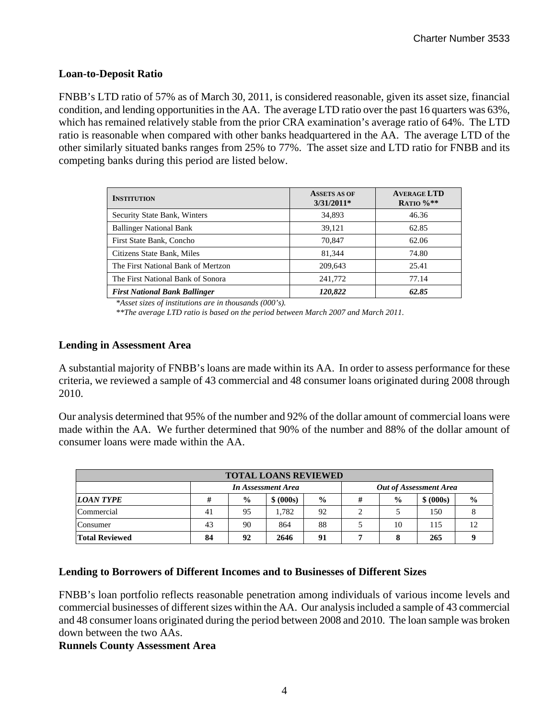### **Loan-to-Deposit Ratio**

FNBB's LTD ratio of 57% as of March 30, 2011, is considered reasonable, given its asset size, financial condition, and lending opportunities in the AA. The average LTD ratio over the past 16 quarters was 63%, which has remained relatively stable from the prior CRA examination's average ratio of 64%. The LTD ratio is reasonable when compared with other banks headquartered in the AA. The average LTD of the other similarly situated banks ranges from 25% to 77%. The asset size and LTD ratio for FNBB and its competing banks during this period are listed below.

| <b>INSTITUTION</b>                   | <b>ASSETS AS OF</b><br>$3/31/2011*$ | <b>AVERAGE LTD</b><br>RATIO $%$ ** |
|--------------------------------------|-------------------------------------|------------------------------------|
| Security State Bank, Winters         | 34,893                              | 46.36                              |
| <b>Ballinger National Bank</b>       | 39,121                              | 62.85                              |
| First State Bank, Concho             | 70,847                              | 62.06                              |
| Citizens State Bank, Miles           | 81.344                              | 74.80                              |
| The First National Bank of Mertzon   | 209,643                             | 25.41                              |
| The First National Bank of Sonora    | 241,772                             | 77.14                              |
| <b>First National Bank Ballinger</b> | 120,822                             | 62.85                              |

*\*Asset sizes of institutions are in thousands (000's).* 

*\*\*The average LTD ratio is based on the period between March 2007 and March 2011.* 

#### **Lending in Assessment Area**

A substantial majority of FNBB's loans are made within its AA. In order to assess performance for these criteria, we reviewed a sample of 43 commercial and 48 consumer loans originated during 2008 through 2010.

Our analysis determined that 95% of the number and 92% of the dollar amount of commercial loans were made within the AA. We further determined that 90% of the number and 88% of the dollar amount of consumer loans were made within the AA.

| <b>TOTAL LOANS REVIEWED</b> |                                                     |               |           |               |  |               |           |               |  |
|-----------------------------|-----------------------------------------------------|---------------|-----------|---------------|--|---------------|-----------|---------------|--|
|                             | <b>Out of Assessment Area</b><br>In Assessment Area |               |           |               |  |               |           |               |  |
| <b>LOAN TYPE</b>            | #                                                   | $\frac{0}{0}$ | \$ (000s) | $\frac{6}{9}$ |  | $\frac{0}{0}$ | \$ (000s) | $\frac{6}{9}$ |  |
| Commercial                  | 41                                                  | 95            | .782      | 92            |  |               | 150       |               |  |
| Consumer                    | 43                                                  | 90            | 864       | 88            |  | 10            | 115       | 12            |  |
| <b>Total Reviewed</b>       | 84                                                  | 92            | 2646      | 91            |  |               | 265       |               |  |

#### **Lending to Borrowers of Different Incomes and to Businesses of Different Sizes**

FNBB's loan portfolio reflects reasonable penetration among individuals of various income levels and commercial businesses of different sizes within the AA. Our analysis included a sample of 43 commercial and 48 consumer loans originated during the period between 2008 and 2010. The loan sample was broken down between the two AAs.

#### **Runnels County Assessment Area**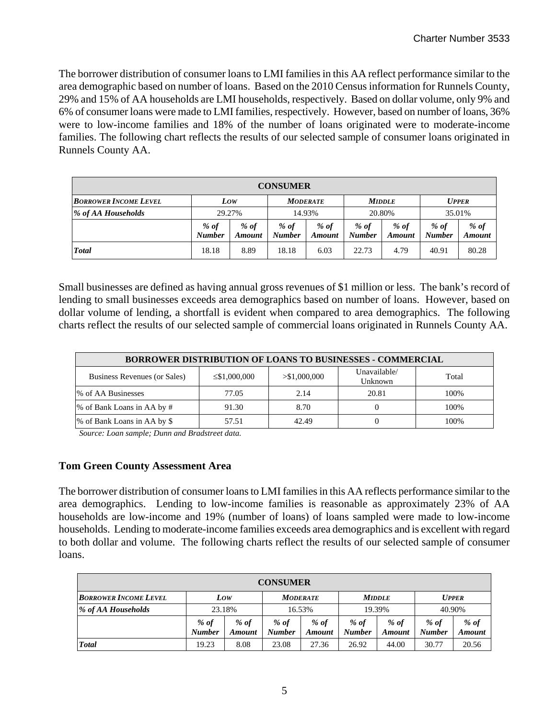The borrower distribution of consumer loans to LMI families in this AA reflect performance similar to the area demographic based on number of loans. Based on the 2010 Census information for Runnels County, 29% and 15% of AA households are LMI households, respectively. Based on dollar volume, only 9% and 6% of consumer loans were made to LMI families, respectively. However, based on number of loans, 36% were to low-income families and 18% of the number of loans originated were to moderate-income families. The following chart reflects the results of our selected sample of consumer loans originated in Runnels County AA.

| <b>CONSUMER</b>              |                         |                  |                         |                       |                       |                       |                         |                       |  |  |
|------------------------------|-------------------------|------------------|-------------------------|-----------------------|-----------------------|-----------------------|-------------------------|-----------------------|--|--|
| <b>BORROWER INCOME LEVEL</b> |                         | Low              |                         | <b>MODERATE</b>       |                       | <b>MIDDLE</b>         |                         | <b>UPPER</b>          |  |  |
| % of AA Households           | 29.27%                  |                  | 14.93%                  |                       | 20.80%                |                       | 35.01%                  |                       |  |  |
|                              | $%$ of<br><b>Number</b> | $%$ of<br>Amount | $%$ of<br><b>Number</b> | % of<br><b>Amount</b> | % of<br><b>Number</b> | % of<br><b>Amount</b> | $%$ of<br><b>Number</b> | % of<br><b>Amount</b> |  |  |
| <b>Total</b>                 | 18.18                   | 8.89             | 18.18                   | 6.03                  | 22.73                 | 4.79                  | 40.91                   | 80.28                 |  |  |

Small businesses are defined as having annual gross revenues of \$1 million or less. The bank's record of lending to small businesses exceeds area demographics based on number of loans. However, based on dollar volume of lending, a shortfall is evident when compared to area demographics. The following charts reflect the results of our selected sample of commercial loans originated in Runnels County AA.

| <b>BORROWER DISTRIBUTION OF LOANS TO BUSINESSES - COMMERCIAL</b>                                        |       |       |       |      |  |  |  |  |  |  |  |
|---------------------------------------------------------------------------------------------------------|-------|-------|-------|------|--|--|--|--|--|--|--|
| Unavailable/<br>> \$1,000,000<br>Business Revenues (or Sales)<br>Total<br>$\leq$ \$1,000,000<br>Unknown |       |       |       |      |  |  |  |  |  |  |  |
| % of AA Businesses                                                                                      | 77.05 | 2.14  | 20.81 | 100% |  |  |  |  |  |  |  |
| % of Bank Loans in AA by #                                                                              | 91.30 | 8.70  |       | 100% |  |  |  |  |  |  |  |
| % of Bank Loans in AA by \$                                                                             | 57.51 | 42.49 |       | 100% |  |  |  |  |  |  |  |

*Source: Loan sample; Dunn and Bradstreet data.* 

#### **Tom Green County Assessment Area**

The borrower distribution of consumer loans to LMI families in this AA reflects performance similar to the area demographics. Lending to low-income families is reasonable as approximately 23% of AA households are low-income and 19% (number of loans) of loans sampled were made to low-income households. Lending to moderate-income families exceeds area demographics and is excellent with regard to both dollar and volume. The following charts reflect the results of our selected sample of consumer loans.

| <b>CONSUMER</b>              |                       |                         |                       |                         |                       |                  |                       |                       |  |  |
|------------------------------|-----------------------|-------------------------|-----------------------|-------------------------|-----------------------|------------------|-----------------------|-----------------------|--|--|
| <b>BORROWER INCOME LEVEL</b> |                       | Low                     |                       | <b>MODERATE</b>         |                       | <b>MIDDLE</b>    |                       | <b>UPPER</b>          |  |  |
| % of AA Households           | 23.18%                |                         | 16.53%                |                         | 19.39%                |                  | 40.90%                |                       |  |  |
|                              | % of<br><b>Number</b> | $%$ of<br><b>Amount</b> | % of<br><b>Number</b> | $%$ of<br><b>Amount</b> | % of<br><b>Number</b> | $%$ of<br>Amount | % of<br><b>Number</b> | % of<br><b>Amount</b> |  |  |
| <b>Total</b>                 | 19.23                 | 8.08                    | 23.08                 | 27.36                   | 26.92                 | 44.00            | 30.77                 | 20.56                 |  |  |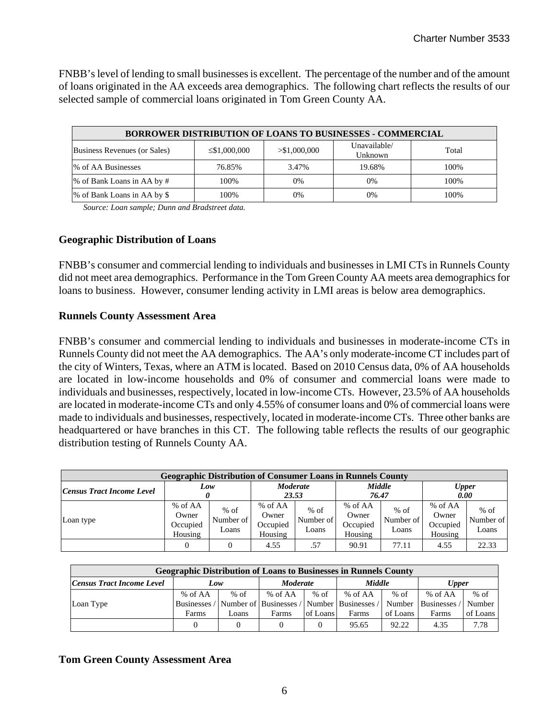FNBB's level of lending to small businesses is excellent. The percentage of the number and of the amount of loans originated in the AA exceeds area demographics. The following chart reflects the results of our selected sample of commercial loans originated in Tom Green County AA.

|                              | <b>BORROWER DISTRIBUTION OF LOANS TO BUSINESSES - COMMERCIAL</b> |               |                         |       |  |  |  |  |  |  |  |  |  |
|------------------------------|------------------------------------------------------------------|---------------|-------------------------|-------|--|--|--|--|--|--|--|--|--|
| Business Revenues (or Sales) | $\leq$ \$1,000,000                                               | > \$1,000,000 | Unavailable/<br>Unknown | Total |  |  |  |  |  |  |  |  |  |
| % of AA Businesses           | 76.85%                                                           | 3.47%         | 19.68%                  | 100%  |  |  |  |  |  |  |  |  |  |
| % of Bank Loans in AA by #   | 100\%                                                            | 0%            | 0%                      | 100\% |  |  |  |  |  |  |  |  |  |
| % of Bank Loans in AA by \$  | 100%                                                             | 0%            | 0%                      | 100%  |  |  |  |  |  |  |  |  |  |

*Source: Loan sample; Dunn and Bradstreet data.* 

#### **Geographic Distribution of Loans**

FNBB's consumer and commercial lending to individuals and businesses in LMI CTs in Runnels County did not meet area demographics. Performance in the Tom Green County AA meets area demographics for loans to business. However, consumer lending activity in LMI areas is below area demographics.

#### **Runnels County Assessment Area**

FNBB's consumer and commercial lending to individuals and businesses in moderate-income CTs in Runnels County did not meet the AA demographics. The AA's only moderate-income CT includes part of the city of Winters, Texas, where an ATM is located. Based on 2010 Census data, 0% of AA households are located in low-income households and 0% of consumer and commercial loans were made to individuals and businesses, respectively, located in low-income CTs. However, 23.5% of AA households are located in moderate-income CTs and only 4.55% of consumer loans and 0% of commercial loans were made to individuals and businesses, respectively, located in moderate-income CTs. Three other banks are headquartered or have branches in this CT. The following table reflects the results of our geographic distribution testing of Runnels County AA.

| <b>Geographic Distribution of Consumer Loans in Runnels County</b> |                                         |                              |                                         |                              |                                         |                              |                                         |                              |  |  |  |
|--------------------------------------------------------------------|-----------------------------------------|------------------------------|-----------------------------------------|------------------------------|-----------------------------------------|------------------------------|-----------------------------------------|------------------------------|--|--|--|
| Low<br><b>Census Tract Income Level</b>                            |                                         |                              | <b>Moderate</b><br>23.53                |                              | Middle<br>76.47                         |                              | <b>Upper</b><br>0.00                    |                              |  |  |  |
| Loan type                                                          | % of AA<br>Owner<br>Occupied<br>Housing | $%$ of<br>Number of<br>Loans | % of AA<br>Owner<br>Occupied<br>Housing | $%$ of<br>Number of<br>Loans | % of AA<br>Owner<br>Occupied<br>Housing | $%$ of<br>Number of<br>Loans | % of AA<br>Owner<br>Occupied<br>Housing | $%$ of<br>Number of<br>Loans |  |  |  |
|                                                                    |                                         | 0                            | 4.55                                    | .57                          | 90.91                                   | 77.11                        | 4.55                                    | 22.33                        |  |  |  |

| <b>Geographic Distribution of Loans to Businesses in Runnels County</b> |         |        |                 |                       |                                                                    |          |                     |          |  |  |
|-------------------------------------------------------------------------|---------|--------|-----------------|-----------------------|--------------------------------------------------------------------|----------|---------------------|----------|--|--|
| Census Tract Income Level                                               | Low     |        | <b>Moderate</b> |                       | <b>Middle</b>                                                      |          | <b>Upper</b>        |          |  |  |
|                                                                         | % of AA | $%$ of | % of AA         | $%$ of $\blacksquare$ | % of $AA$                                                          | $%$ of   | % of $AA$           | $%$ of   |  |  |
| Loan Type                                                               |         |        |                 |                       | Businesses / Number of   Businesses / Number   Businesses / Number |          | Businesses / Number |          |  |  |
|                                                                         | Farms   | Loans  | Farms           | of Loans              | Farms                                                              | of Loans | Farms               | of Loans |  |  |
|                                                                         |         |        |                 | $\Omega$              | 95.65                                                              | 92.22    | 4.35                | 7.78     |  |  |

#### **Tom Green County Assessment Area**